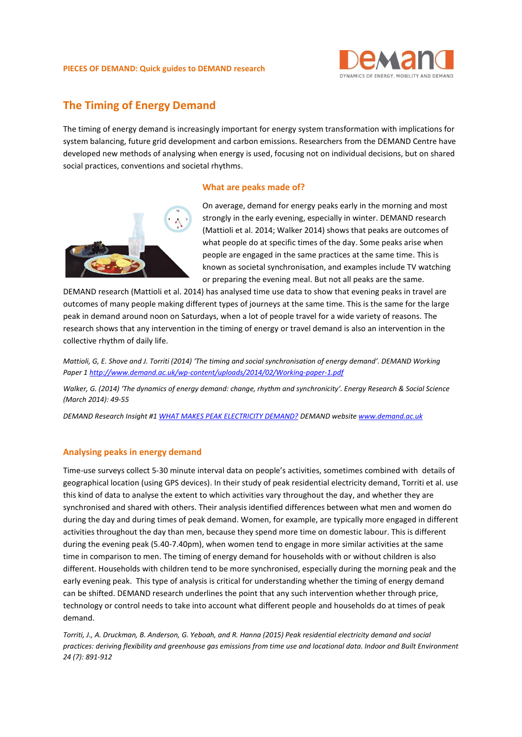#### **PIECES OF DEMAND: Quick guides to DEMAND research**



# **The Timing of Energy Demand**

The timing of energy demand is increasingly important for energy system transformation with implications for system balancing, future grid development and carbon emissions. Researchers from the DEMAND Centre have developed new methods of analysing when energy is used, focusing not on individual decisions, but on shared social practices, conventions and societal rhythms.

#### **What are peaks made of?**



On average, demand for energy peaks early in the morning and most strongly in the early evening, especially in winter. DEMAND research (Mattioli et al. 2014; Walker 2014) shows that peaks are outcomes of what people do at specific times of the day. Some peaks arise when people are engaged in the same practices at the same time. This is known as societal synchronisation, and examples include TV watching or preparing the evening meal. But not all peaks are the same.

DEMAND research (Mattioli et al. 2014) has analysed time use data to show that evening peaks in travel are outcomes of many people making different types of journeys at the same time. This is the same for the large peak in demand around noon on Saturdays, when a lot of people travel for a wide variety of reasons. The research shows that any intervention in the timing of energy or travel demand is also an intervention in the collective rhythm of daily life.

*Mattioli, G, E. Shove and J. Torriti (2014) 'The timing and social synchronisation of energy demand'. DEMAND Working Paper 1<http://www.demand.ac.uk/wp-content/uploads/2014/02/Working-paper-1.pdf>*

*Walker, G. (2014) 'The dynamics of energy demand: change, rhythm and synchronicity'. Energy Research & Social Science (March 2014): 49-55*

*DEMAND Research Insight #[1 WHAT MAKES PEAK ELECTRICITY DEMAND?](http://www.demand.ac.uk/wp-content/uploads/2016/10/DEMAND-insight-1.pdf) DEMAND website [www.demand.ac.uk](http://www.demand.ac.uk/)*

## **Analysing peaks in energy demand**

Time-use surveys collect 5-30 minute interval data on people's activities, sometimes combined with details of geographical location (using GPS devices). In their study of peak residential electricity demand, Torriti et al. use this kind of data to analyse the extent to which activities vary throughout the day, and whether they are synchronised and shared with others. Their analysis identified differences between what men and women do during the day and during times of peak demand. Women, for example, are typically more engaged in different activities throughout the day than men, because they spend more time on domestic labour. This is different during the evening peak (5.40-7.40pm), when women tend to engage in more similar activities at the same time in comparison to men. The timing of energy demand for households with or without children is also different. Households with children tend to be more synchronised, especially during the morning peak and the early evening peak. This type of analysis is critical for understanding whether the timing of energy demand can be shifted. DEMAND research underlines the point that any such intervention whether through price, technology or control needs to take into account what different people and households do at times of peak demand.

*Torriti, J., A. Druckman, B. Anderson, G. Yeboah, and R. Hanna (2015) Peak residential electricity demand and social practices: deriving flexibility and greenhouse gas emissions from time use and locational data. Indoor and Built Environment 24 (7): 891-912*